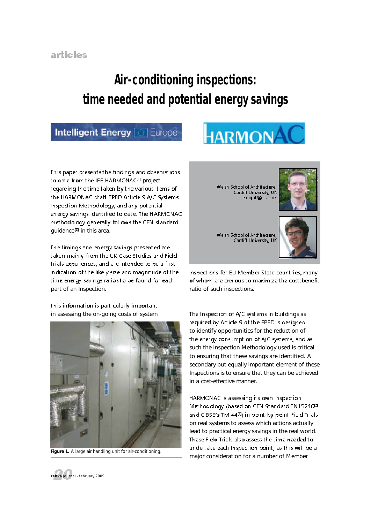## **Air-conditioning inspections: time needed and potential energy savings**

### **Intelligent Energy** *C* Europe

# HARMONAC

This paper presents the findings and observations to date from the IEE HARMONAC<sup>(1)</sup> project regarding the time taken by the various items of the HARMONAC draft EPBD Article 9 A/C Systems Inspection Methodology, and any potential energy savings identified to date. The HARMONAC methodology generally follows the CEN standard guidance $\overline{a}$  in this area.

The timings and energy savings presented are taken mainly from the UK Case Studies and Field Trials experiences, and are intended to be a first indication of the likely size and magnitude of the time: energy savings ratios to be found for each part of an Inspection.

This information is particularly important in assessing the on-going costs of system



*Figure 1. A large air handling unit for air-conditioning.*



inspections for EU Member State countries, many of whom are anxious to maximize the cost: benefit ratio of such inspections.

The Inspection of A/C systems in buildings as required by Article 9 of the EPBD is designed to identify opportunities for the reduction of the energy consumption of A/C systems, and as such the Inspection Methodology used is critical to ensuring that these savings are identified. A secondary but equally important element of these Inspections is to ensure that they can be achieved in a cost-effective manner.

HARMONAC is assessing its own Inspection Methodology (based on CEN Standard EN15240<sup>m</sup> and CIBSE's TM 44<sup>[3]</sup> in point-by-point Field Trials on real systems to assess which actions actually lead to practical energy savings in the real world. These Field Trials also assess the time needed to undertake each Inspection point, as this will be a major consideration for a number of Member

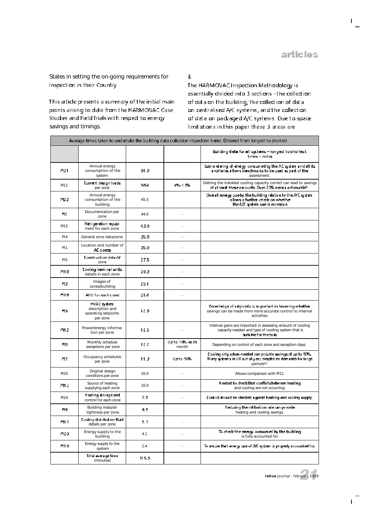T

States in setting the on-going requirements for Inspection in their Country.

This article presents a summary of the initial main points arising to date from the HARMONAC Case Studies and Field Trials with resped to energy savings and timings.

#### $\check{\textbf{s}}$

The HARMONAC Inspection Methodology is essentially divided into 3 sections - the collection of data on the building, the collection of data on centralised A/C systems, and the collection of data on packaged A/C systems. Due to space limit ations in this paper these 3 areas are

| Average times taken to undertake the building data collection inspection items. Ordered from longest to shortest, |                                                                   |       |                          |                                                                                                                                             |
|-------------------------------------------------------------------------------------------------------------------|-------------------------------------------------------------------|-------|--------------------------|---------------------------------------------------------------------------------------------------------------------------------------------|
|                                                                                                                   |                                                                   |       |                          | Building data for all systems – longest to shortest<br>times – notes                                                                        |
| PI21                                                                                                              | Annual energy<br>consumption of the<br>system                     | 61.0  |                          | Sub-in elering of energy consumed by the AC system and all its<br>ancillaries allows benchmarks to be used as part of the<br>assessment.    |
| PI11                                                                                                              | Current design loads<br>per zone                                  | 56.4  | 4%-1.3%                  | Getting the installed cooling capacity correct can lead to savings<br>of at least these amounts. Over 20% seems achievable <sup>4</sup> .   |
| PI22                                                                                                              | Annual energy<br>consumption of the<br>building                   | 45.5  |                          | Overall energy use by the building relative to the A/C system<br>allows a further check on whether<br>the A/C system use is excessive.      |
| Ħ2                                                                                                                | Documentation per<br>zone                                         | 44.0  | ×,                       |                                                                                                                                             |
| <b>PI15</b>                                                                                                       | Refrigeration equip-<br>ment for each zone                        | 43.0  |                          |                                                                                                                                             |
| PI4                                                                                                               | General zone data/zone                                            | 35.8  | $\overline{\phantom{a}}$ |                                                                                                                                             |
| P <sub>11</sub>                                                                                                   | Location and number of<br>AC zones.                               | 35.0  |                          |                                                                                                                                             |
| PI <sub>5</sub>                                                                                                   | Construction details'<br>zone                                     | 27.5  | ×,                       |                                                                                                                                             |
| PI18                                                                                                              | Cooling terminal units<br>details in each zone                    | 26.3  |                          |                                                                                                                                             |
| H3                                                                                                                | Images of<br>zones/building                                       | 25.1  |                          |                                                                                                                                             |
| PI16                                                                                                              | AHU for each zone                                                 | 21 A  |                          |                                                                                                                                             |
| Ħ9                                                                                                                | HVAC system<br>description and<br>operating setpoints<br>per zone | 12.8  |                          | Knowledge of selpoints is important in knowing whether<br>savings can be made from more accurate control to internal<br>activities.         |
| PI12                                                                                                              | Power/energy informa-<br>tion per zone                            | 12.5  |                          | Internal gains are important in assessing amount of cooling<br>capacity needed and type of cooling system that is<br>suitable for the task. |
| H8                                                                                                                | Monthly schedule<br>exceptions per zone                           | 12.2  | Up to10‰ each<br>month   | Depending on control of each zone and exception days.                                                                                       |
| Ħ7                                                                                                                | Occupancy schedules<br>per zone                                   | 11.3  | Up to 50%                | Cooling only when needed can provide savings of up to 50%.<br>Many systems in UK run all year, despite no demands for large<br>periods[5].  |
| <b>PI10</b>                                                                                                       | Original design<br>conditions per zone                            | 10.0  |                          | Allows comparison with PI11                                                                                                                 |
| PI13                                                                                                              | Source of heating<br>supplying each zone                          | 10.0  |                          | Needed to check that conflicts between heating<br>and cooling are not occurring.                                                            |
| <b>PI14</b>                                                                                                       | Heating storage and<br>control for each zone                      | 7.8   | ä,                       | Control should be checked a gainst heating and cooling supply.                                                                              |
| H6                                                                                                                | Building mass/air<br>tightness per zone                           | 6.5   |                          | Reducing the infiltration rate can provide.<br>heating and cooling savings.                                                                 |
| PI17                                                                                                              | Cooling distribution fluid<br>details per zone                    | 5.7   |                          |                                                                                                                                             |
| PI20                                                                                                              | Energy supply to the<br>building                                  | 4.1   |                          | To check the energy consumed by the building<br>is fully accounted for.                                                                     |
| PI19                                                                                                              | Energy supply to the<br>system                                    | 1.4   | ÷.                       | To ensure that energy use of A/C system is properly accounted for.                                                                          |
|                                                                                                                   | Total average time<br>(minutes)                                   | 515.3 |                          |                                                                                                                                             |



 $\mathbf{L}$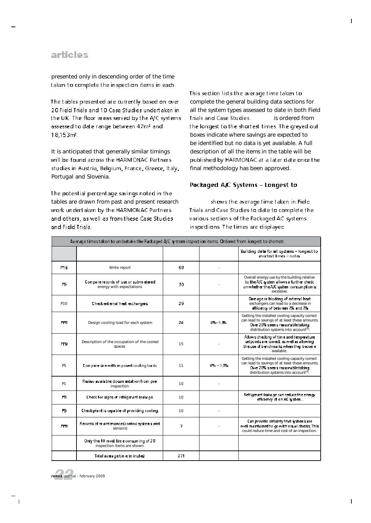#### articles

presented only in descending order of the time taken to complete the inspection items in each.

The tables presented are currently based on over 20 Field Trials and 10 Case Studies undertaken in the UK. The floor areas served by the A/C systems assessed to date range between 47m2 and 18,153m<sup>2</sup>.

It is anticipated that generally similar timings will be found across the HARMONAC Partners studies in Austria, Belgium, France, Greece, Italy, Portugal and Slovenia.

The potential percentage savings noted in the tables are drawn from past and present research work undertaken by the HARMONAC Partners and others, as well as from these Case Studies and Field Trials.

This section lists the average time taken to complete the general building data sections for all the system types assessed to date in both Field Trials and Case Studies. is ordered from the longest to the shortest times. The greyed out boxes indicate where savings are expected to be identified but no data is yet available. A full description of all the items in the table will be published by HARMONAC at a later date once the final methodology has been approved.

#### Packaged A/C Systems – Longest to

shows the average time taken in Field Trials and Case Studies to date to complete the various sections of the Packaged AC systems inspections. The times are displayed

| Average times taken to undertake the Packaged A/C system inspection items. Ordered from longest to shortest. |                                                                     |     |          |                                                                                                                                                                                            |
|--------------------------------------------------------------------------------------------------------------|---------------------------------------------------------------------|-----|----------|--------------------------------------------------------------------------------------------------------------------------------------------------------------------------------------------|
|                                                                                                              |                                                                     |     |          | Building data for all systems - longest to<br>$shortest times - note$                                                                                                                      |
| P <sub>19</sub>                                                                                              | Write report                                                        | 68  |          |                                                                                                                                                                                            |
| P6                                                                                                           | Comparerecords of use or sub-metered<br>energy with expectations    | 30  |          | Overall energy use by the building relative<br>to the A/C system allows a further check<br>on whether the A/C system consumption is<br>excessive                                           |
| P <sub>10</sub>                                                                                              | Check external heat exchangers                                      | 26  |          | Damage or blocking of external heat<br>exchangers can lead to a decrease in<br>efficiency of between 7% and 7%                                                                             |
| P₩                                                                                                           | Design cooling load for each system                                 | 24  | 4%-13%   | Getting the installed cooling capacity correct<br>can lead to savings of at least these amounts.<br>Over 20% seems reasonable taking<br>distribution systems into account <sup>[4]</sup> . |
| PP9                                                                                                          | Description of the occupation of the cooled<br>spaces               | 15  |          | Allows checking of time and temperature<br>setpoints are correct, as wiell as allowing<br>the use of benchmarks when they become<br>available                                              |
| P <sub>5</sub>                                                                                               | Compare size with imposed cooling loads                             | 11  | 4% - 13% | Getting the installed cooling capacity correct<br>can lead to savings of at least these amounts.<br>Over 20% seems reasonable taking<br>distribution systems into account[4].              |
| P1                                                                                                           | Reriew available docum entation from pre-<br>inspection             | 10  |          |                                                                                                                                                                                            |
| P8                                                                                                           | Check for signs of refrigerant leakage.                             | 10  |          | Refrigerant leakage can reduce the energy<br>efficiency of an AC system.                                                                                                                   |
| P9                                                                                                           | Check plant is capable of providing cooling                         | 10  |          |                                                                                                                                                                                            |
| PF6                                                                                                          | Records of maintenance (control systems and<br>sensors)             | 7   |          | Can provide certainty that systems are<br>well maintained to go with visual checks. This<br>could reduce time and cost of an inspection.                                                   |
|                                                                                                              | Only the 10 most time consuming of 28<br>inspection items are shown |     |          |                                                                                                                                                                                            |
|                                                                                                              | Total average time (m inuted                                        | 271 |          |                                                                                                                                                                                            |



 $\blacksquare$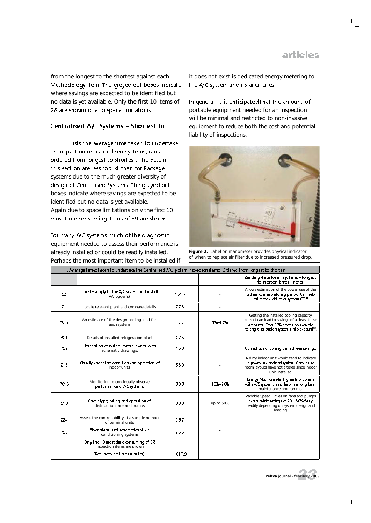from the longest to the shortest against each Methodology item. The greyed out boxes indicate where savings are expected to be identified but no data is yet available. Only the first 10 items of 28 are shown due to space limitations.

#### Centralised A/C Systems - Shortest to

lists the average time taken to undertake an inspection on centralised systems, rank ordered from longest to shortest. The data in this section are less robust than for Package systems due to the much greater diversity of design of Centralised Systems. The greyed out boxes indicate where savings are expected to be identified but no data is yet available. Again due to space limitations only the first 10 most time consuming items of 59 are shown.

For many A/C systems much of the diagnostic equipment needed to assess their performance is already installed or could be readily installed. Perhaps the most important item to be installed if

it does not exist is dedicated energy metering to the A/C system and its ancillaries.

In general, it is anticipated that the amount of portable equipment needed for an inspection will be minimal and restricted to non-invasive equipment to reduce both the cost and potential liability of inspections.



*Figure 2. Label on manometer provides physical indicator of when to replace air filter due to increased pressured drop.*

| . Avierage times taken to undertake the Centralised A/C system inspection items. Ordered from longest to shortest. |                                                                     |        |           |                                                                                                                                                                                            |
|--------------------------------------------------------------------------------------------------------------------|---------------------------------------------------------------------|--------|-----------|--------------------------------------------------------------------------------------------------------------------------------------------------------------------------------------------|
|                                                                                                                    |                                                                     |        |           | Building data for all systems – longest<br>to shortest times - notes                                                                                                                       |
| CZ.                                                                                                                | Locate supply to the A/C system and install<br>VA logger(s)         | 161.7  |           | Allows estimation of the power use of the<br>system over monitoring period. Can help<br>estimate a chiller or system COP.                                                                  |
| C1                                                                                                                 | Locate relevant plant and compare details                           | 77.5   |           |                                                                                                                                                                                            |
| PC12                                                                                                               | An estimate of the design cooling load for<br>each system           | 47.7   | 4%-13%    | Getting the installed cooling capacity<br>correct can lead to savings of at least these<br>amounts. Over 20% seems reasonable<br>taking distribution system sinto account <sup>(4)</sup> . |
| PC <sub>1</sub>                                                                                                    | Details of installed refrigeration plant                            | 47.5   |           |                                                                                                                                                                                            |
| PC <sub>2</sub>                                                                                                    | Description of system control ziones with<br>schematic drawings.    | 45.3   |           | Correct use of zioning can achieve savings.                                                                                                                                                |
| C15                                                                                                                | Visually check the condition and operation of<br>indoor units       | 35.0   |           | A dirty indoor unit would tend to indicate<br>a poorly maintained system. Check also<br>room layouts have not altered since indoor<br>unit installed.                                      |
| PC15                                                                                                               | Monitoring to continually observe<br>performance of AC systems.     | 30.8   | $10 - 20$ | Energy M.ST can identify early problems<br>with A/C systems, and help in a long-term<br>maintenance programme.                                                                             |
| C10                                                                                                                | Check type inting and operation of<br>distribution fans and pumps   | 30.8   | up to 50% | Variable Speed Drives on fans and pumps<br>can provide savings of 20 - 50% fairly<br>readily depending on system design and<br>loading.                                                    |
| C24                                                                                                                | Assess the controllability of a sample number<br>of terminal units  | 26.7   |           |                                                                                                                                                                                            |
| PC 5                                                                                                               | Floor plans, and schematics of air<br>conditioning systems.         | 26.5   |           |                                                                                                                                                                                            |
|                                                                                                                    | Only the 10 most time consuming of 28<br>inspection items are shown |        |           |                                                                                                                                                                                            |
|                                                                                                                    | Total average time (minutes)                                        | 1017.9 |           |                                                                                                                                                                                            |



 $\mathbf{I}$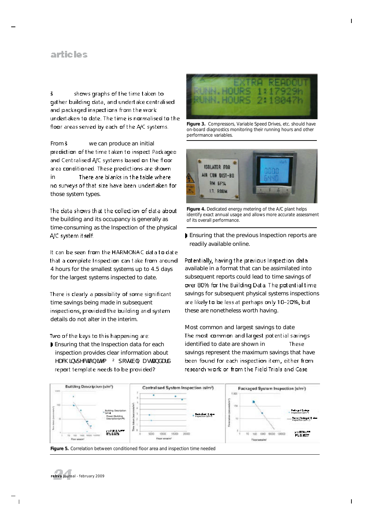#### articles

 $\check{\mathsf{s}}$ shows graphs of the time taken to gather building data, and undertake centralised and packaged inspections from the work undertaken to date. The time is normalised to the floor areas served by each of the A/C systems.

From  $\ddot{\textbf{s}}$  we can produce an initial prediction of the time taken to inspect Packaged and Centralised A/C systems based on the floor area conditioned. These predictions are shown in There are blanks in the table where no surveys of that size have been undertaken for those system types.

The data shows that the collection of data about the building and its occupancy is generally as time-consuming as the Inspection of the physical A/C system it self.

It can be seen from the HARMONAC data to date that a complete Inspection can take from around 4 hours for the smallest systems up to 4.5 days for the largest systems inspected to date.

There is clearly a possibility of some significant time savings being made in subsequent inspections, provided the building and system details do not alter in the interim.

Two of the keys to this happening are:

Ensuring that the Inspection data for each inspection provides clear information about HDFK LOVSHFWLRQLWHP <sup>2</sup> SRVMLE @ DVWDQGDUG report template needs to be provided?



*Figure 3. Compressors, Variable Speed Drives, etc. should have on-board diagnostics monitoring their running hours and other performance variables.* 



*Figure 4. Dedicated energy metering of the A/C plant helps identify exact annual usage and allows more accurate assessment of its overall performance.*

Ensuring that the previous Inspection reports are readily available online.

Potentially, having the previous Inspection data available in a format that can be assimilated into subsequent reports could lead to time savings of over 80% for the Building Data. The potential time savings for subsequent physical systems inspections are likely to be less at perhaps only 10-20%, but these are nonetheless worth having.

Most common and largest savings to date The most common and largest potential savings identified to date are shown in These savings represent the maximum savings that have been found for each inspection item, either from research work or from the Field Trials and Case



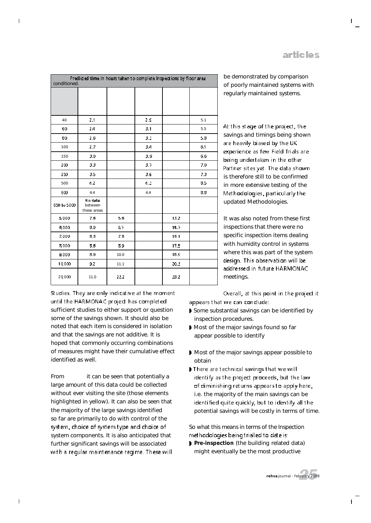| Predicted time in hours taken to complete inspections by floor area<br>conditioned. |                                   |      |     |      |     |
|-------------------------------------------------------------------------------------|-----------------------------------|------|-----|------|-----|
|                                                                                     |                                   |      |     |      |     |
|                                                                                     |                                   |      |     |      |     |
| 40                                                                                  | 2.1                               |      | 2.9 |      | 5.1 |
| 60                                                                                  | 24                                |      | 3.1 |      | 5.5 |
| 80                                                                                  | 2.6                               |      | 3.5 |      | 5.8 |
| 100                                                                                 | 2.7                               |      | 3.4 |      | 6.1 |
| 150                                                                                 | 3.0                               |      | 3.6 |      | 6.6 |
| 200                                                                                 | 3.3                               |      | 3.7 |      | 7.0 |
| 250                                                                                 | 3.5                               |      | 3.9 |      | 7.3 |
| 500                                                                                 | 4.2                               |      | 4.5 |      | 8.5 |
| 600                                                                                 | 4.4                               |      | 4.4 |      | 8.8 |
| 650 to 5000                                                                         | No data<br>between<br>these areas |      |     |      |     |
| 5,000                                                                               | 7.6                               | 5.6  |     | 13.2 |     |
| 6,000                                                                               | 8.0                               | 6.7  |     | 14.7 |     |
| 7,000                                                                               | 8.3                               | 7.8  |     | 16.1 |     |
| 8,000                                                                               | 8.6                               | 89   |     | 17.5 |     |
| 9,000                                                                               | 8.9                               | 10.0 |     | 18.9 |     |
| 10000                                                                               | 9.2                               | 11.1 |     | 20.5 |     |
| 20 000                                                                              | 11.0                              | 22.2 |     | 33.2 |     |

Studies. They are only indicative at the moment until the HARMONAC project has completed sufficient studies to either support or question some of the savings shown. It should also be noted that each item is considered in isolation and that the savings are not additive. It is hoped that commonly occurring combinations of measures might have their cumulative effect identified as well.

From it can be seen that potentially a large amount of this data could be collected without ever visiting the site (those elements highlighted in yellow). It can also be seen that the majority of the large savings identified so far are primarily to do with control of the system, choice of system type and choice of system components. It is also anticipated that further significant savings will be associated with a regular maintenance regime. These will regularly maintained systems.

be demonstrated by comparison of poorly maintained systems with

At this stage of the project, the savings and timings being shown are heavily biased by the UK experience as few Field Trials are being undertaken in the other Partner sites yet. The data shown is therefore still to be confirmed in more extensive testing of the Methodologies, particularly the updated Methodologies.

It was also noted from these first inspections that there were no specific inspection items dealing with humidity control in systems where this was part of the system design. This observation will be addressed in future HARMONAC meetings.

Overall, at this point in the project it appears that we can condude:

- Some substantial savings can be identified by inspection procedures.
- Most of the major savings found so far appear possible to identify
- Most of the major savings appear possible to obtain
- There are technical savings that we will identify as the project proceeds, but the law of diminishing returns appears to apply here, i.e. the majority of the main savings can be identified quite quickly, but to identify all the potential savings will be costly in terms of time.

So what this means in terms of the Inspection methodologies being trialled to date is:

**Pre-inspection** (the building related data) might eventually be the most productive